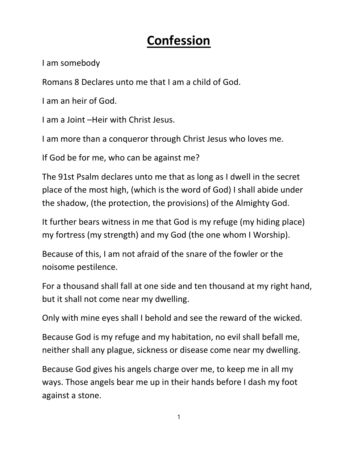## Confession

I am somebody

Romans 8 Declares unto me that I am a child of God.

I am an heir of God.

I am a Joint –Heir with Christ Jesus.

I am more than a conqueror through Christ Jesus who loves me.

If God be for me, who can be against me?

The 91st Psalm declares unto me that as long as I dwell in the secret place of the most high, (which is the word of God) I shall abide under the shadow, (the protection, the provisions) of the Almighty God.

It further bears witness in me that God is my refuge (my hiding place) my fortress (my strength) and my God (the one whom I Worship).

Because of this, I am not afraid of the snare of the fowler or the noisome pestilence.

For a thousand shall fall at one side and ten thousand at my right hand, but it shall not come near my dwelling.

Only with mine eyes shall I behold and see the reward of the wicked.

Because God is my refuge and my habitation, no evil shall befall me, neither shall any plague, sickness or disease come near my dwelling.

Because God gives his angels charge over me, to keep me in all my ways. Those angels bear me up in their hands before I dash my foot against a stone.